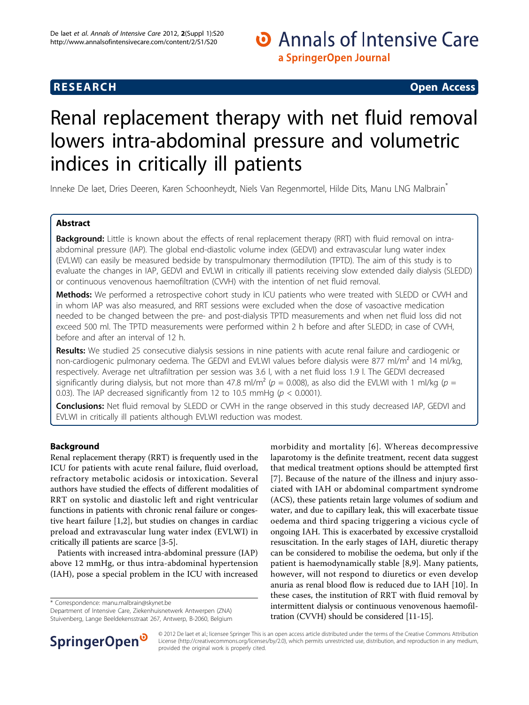# O Annals of Intensive Care a SpringerOpen Journal

**RESEARCH CONSTRUCTION CONSTRUCTS** 

# Renal replacement therapy with net fluid removal lowers intra-abdominal pressure and volumetric indices in critically ill patients

Inneke De laet, Dries Deeren, Karen Schoonheydt, Niels Van Regenmortel, Hilde Dits, Manu LNG Malbrain\*

#### Abstract

**Background:** Little is known about the effects of renal replacement therapy (RRT) with fluid removal on intraabdominal pressure (IAP). The global end-diastolic volume index (GEDVI) and extravascular lung water index (EVLWI) can easily be measured bedside by transpulmonary thermodilution (TPTD). The aim of this study is to evaluate the changes in IAP, GEDVI and EVLWI in critically ill patients receiving slow extended daily dialysis (SLEDD) or continuous venovenous haemofiltration (CVVH) with the intention of net fluid removal.

Methods: We performed a retrospective cohort study in ICU patients who were treated with SLEDD or CWH and in whom IAP was also measured, and RRT sessions were excluded when the dose of vasoactive medication needed to be changed between the pre- and post-dialysis TPTD measurements and when net fluid loss did not exceed 500 ml. The TPTD measurements were performed within 2 h before and after SLEDD; in case of CVVH, before and after an interval of 12 h.

Results: We studied 25 consecutive dialysis sessions in nine patients with acute renal failure and cardiogenic or non-cardiogenic pulmonary oedema. The GEDVI and EVLWI values before dialysis were 877 ml/m² and 14 ml/kg, respectively. Average net ultrafiltration per session was 3.6 l, with a net fluid loss 1.9 l. The GEDVI decreased significantly during dialysis, but not more than 47.8 ml/m<sup>2</sup> ( $p = 0.008$ ), as also did the EVLWI with 1 ml/kg ( $p =$ 0.03). The IAP decreased significantly from 12 to 10.5 mmHg ( $p < 0.0001$ ).

**Conclusions:** Net fluid removal by SLEDD or CWH in the range observed in this study decreased IAP, GEDVI and EVLWI in critically ill patients although EVLWI reduction was modest.

#### **Background**

Renal replacement therapy (RRT) is frequently used in the ICU for patients with acute renal failure, fluid overload, refractory metabolic acidosis or intoxication. Several authors have studied the effects of different modalities of RRT on systolic and diastolic left and right ventricular functions in patients with chronic renal failure or congestive heart failure [\[1](#page-5-0),[2\]](#page-5-0), but studies on changes in cardiac preload and extravascular lung water index (EVLWI) in critically ill patients are scarce [[3-5\]](#page-5-0).

Patients with increased intra-abdominal pressure (IAP) above 12 mmHg, or thus intra-abdominal hypertension (IAH), pose a special problem in the ICU with increased

\* Correspondence: [manu.malbrain@skynet.be](mailto:manu.malbrain@skynet.be)

Department of Intensive Care, Ziekenhuisnetwerk Antwerpen (ZNA) Stuivenberg, Lange Beeldekensstraat 267, Antwerp, B-2060, Belgium





© 2012 De laet et al.; licensee Springer This is an open access article distributed under the terms of the Creative Commons Attribution License [\(http://creativecommons.org/licenses/by/2.0](http://creativecommons.org/licenses/by/2.0)), which permits unrestricted use, distribution, and reproduction in any medium, provided the original work is properly cited.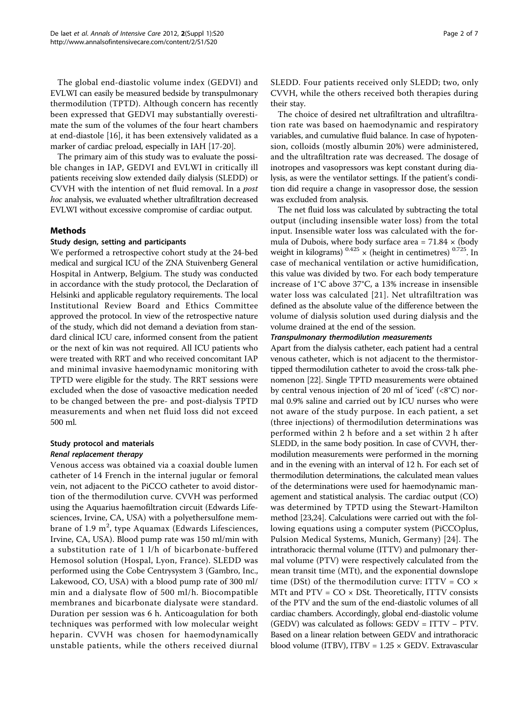The global end-diastolic volume index (GEDVI) and EVLWI can easily be measured bedside by transpulmonary thermodilution (TPTD). Although concern has recently been expressed that GEDVI may substantially overestimate the sum of the volumes of the four heart chambers at end-diastole [\[16\]](#page-5-0), it has been extensively validated as a marker of cardiac preload, especially in IAH [[17](#page-5-0)-[20](#page-5-0)].

The primary aim of this study was to evaluate the possible changes in IAP, GEDVI and EVLWI in critically ill patients receiving slow extended daily dialysis (SLEDD) or CVVH with the intention of net fluid removal. In a post hoc analysis, we evaluated whether ultrafiltration decreased EVLWI without excessive compromise of cardiac output.

#### Methods

#### Study design, setting and participants

We performed a retrospective cohort study at the 24-bed medical and surgical ICU of the ZNA Stuivenberg General Hospital in Antwerp, Belgium. The study was conducted in accordance with the study protocol, the Declaration of Helsinki and applicable regulatory requirements. The local Institutional Review Board and Ethics Committee approved the protocol. In view of the retrospective nature of the study, which did not demand a deviation from standard clinical ICU care, informed consent from the patient or the next of kin was not required. All ICU patients who were treated with RRT and who received concomitant IAP and minimal invasive haemodynamic monitoring with TPTD were eligible for the study. The RRT sessions were excluded when the dose of vasoactive medication needed to be changed between the pre- and post-dialysis TPTD measurements and when net fluid loss did not exceed 500 ml.

## Study protocol and materials

### Renal replacement therapy

Venous access was obtained via a coaxial double lumen catheter of 14 French in the internal jugular or femoral vein, not adjacent to the PiCCO catheter to avoid distortion of the thermodilution curve. CVVH was performed using the Aquarius haemofiltration circuit (Edwards Lifesciences, Irvine, CA, USA) with a polyethersulfone membrane of 1.9  $\mathrm{m}^2$ , type Aquamax (Edwards Lifesciences, Irvine, CA, USA). Blood pump rate was 150 ml/min with a substitution rate of 1 l/h of bicarbonate-buffered Hemosol solution (Hospal, Lyon, France). SLEDD was performed using the Cobe Centrysystem 3 (Gambro, Inc., Lakewood, CO, USA) with a blood pump rate of 300 ml/ min and a dialysate flow of 500 ml/h. Biocompatible membranes and bicarbonate dialysate were standard. Duration per session was 6 h. Anticoagulation for both techniques was performed with low molecular weight heparin. CVVH was chosen for haemodynamically unstable patients, while the others received diurnal SLEDD. Four patients received only SLEDD; two, only CVVH, while the others received both therapies during their stay.

The choice of desired net ultrafiltration and ultrafiltration rate was based on haemodynamic and respiratory variables, and cumulative fluid balance. In case of hypotension, colloids (mostly albumin 20%) were administered, and the ultrafiltration rate was decreased. The dosage of inotropes and vasopressors was kept constant during dialysis, as were the ventilator settings. If the patient's condition did require a change in vasopressor dose, the session was excluded from analysis.

The net fluid loss was calculated by subtracting the total output (including insensible water loss) from the total input. Insensible water loss was calculated with the formula of Dubois, where body surface area =  $71.84 \times$  (body weight in kilograms)  $0.425 \times$  (height in centimetres)  $0.725$ . In case of mechanical ventilation or active humidification, this value was divided by two. For each body temperature increase of 1°C above 37°C, a 13% increase in insensible water loss was calculated [[21](#page-5-0)]. Net ultrafiltration was defined as the absolute value of the difference between the volume of dialysis solution used during dialysis and the volume drained at the end of the session.

#### Transpulmonary thermodilution measurements

Apart from the dialysis catheter, each patient had a central venous catheter, which is not adjacent to the thermistortipped thermodilution catheter to avoid the cross-talk phenomenon [[22\]](#page-5-0). Single TPTD measurements were obtained by central venous injection of 20 ml of 'iced' (<8°C) normal 0.9% saline and carried out by ICU nurses who were not aware of the study purpose. In each patient, a set (three injections) of thermodilution determinations was performed within 2 h before and a set within 2 h after SLEDD, in the same body position. In case of CVVH, thermodilution measurements were performed in the morning and in the evening with an interval of 12 h. For each set of thermodilution determinations, the calculated mean values of the determinations were used for haemodynamic management and statistical analysis. The cardiac output (CO) was determined by TPTD using the Stewart-Hamilton method [\[23,24](#page-6-0)]. Calculations were carried out with the following equations using a computer system (PiCCOplus, Pulsion Medical Systems, Munich, Germany) [[24](#page-6-0)]. The intrathoracic thermal volume (ITTV) and pulmonary thermal volume (PTV) were respectively calculated from the mean transit time (MTt), and the exponential downslope time (DSt) of the thermodilution curve: ITTV =  $CO \times$ MTt and  $PTV = CO \times DSt$ . Theoretically, ITTV consists of the PTV and the sum of the end-diastolic volumes of all cardiac chambers. Accordingly, global end-diastolic volume (GEDV) was calculated as follows: GEDV = ITTV − PTV. Based on a linear relation between GEDV and intrathoracic blood volume (ITBV), ITBV =  $1.25 \times$  GEDV. Extravascular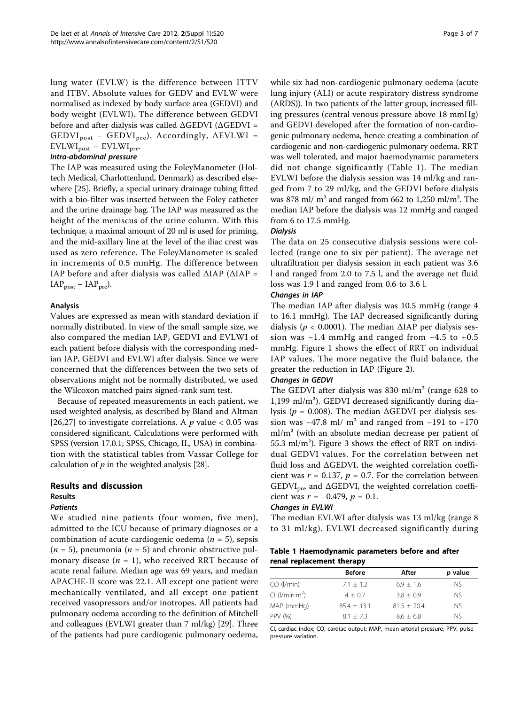lung water (EVLW) is the difference between ITTV and ITBV. Absolute values for GEDV and EVLW were normalised as indexed by body surface area (GEDVI) and body weight (EVLWI). The difference between GEDVI before and after dialysis was called ΔGEDVI (ΔGEDVI =  $GEDVI<sub>post</sub>$  –  $GEDVI<sub>pre</sub>$ ). Accordingly,  $\Delta EVLWI$  = EVLWIpost − EVLWIpre.

#### Intra-abdominal pressure

The IAP was measured using the FoleyManometer (Holtech Medical, Charlottenlund, Denmark) as described elsewhere [[25\]](#page-6-0). Briefly, a special urinary drainage tubing fitted with a bio-filter was inserted between the Foley catheter and the urine drainage bag. The IAP was measured as the height of the meniscus of the urine column. With this technique, a maximal amount of 20 ml is used for priming, and the mid-axillary line at the level of the iliac crest was used as zero reference. The FoleyManometer is scaled in increments of 0.5 mmHg. The difference between IAP before and after dialysis was called ΔIAP (ΔIAP =  $IAP_{\text{post}} - IAP_{\text{pre}}$ ).

#### Analysis

Values are expressed as mean with standard deviation if normally distributed. In view of the small sample size, we also compared the median IAP, GEDVI and EVLWI of each patient before dialysis with the corresponding median IAP, GEDVI and EVLWI after dialysis. Since we were concerned that the differences between the two sets of observations might not be normally distributed, we used the Wilcoxon matched pairs signed-rank sum test.

Because of repeated measurements in each patient, we used weighted analysis, as described by Bland and Altman [[26,27](#page-6-0)] to investigate correlations. A  $p$  value  $< 0.05$  was considered significant. Calculations were performed with SPSS (version 17.0.1; SPSS, Chicago, IL, USA) in combination with the statistical tables from Vassar College for calculation of  $p$  in the weighted analysis [[28](#page-6-0)].

#### Results and discussion Results

#### Patients

We studied nine patients (four women, five men), admitted to the ICU because of primary diagnoses or a combination of acute cardiogenic oedema ( $n = 5$ ), sepsis  $(n = 5)$ , pneumonia  $(n = 5)$  and chronic obstructive pulmonary disease ( $n = 1$ ), who received RRT because of acute renal failure. Median age was 69 years, and median APACHE-II score was 22.1. All except one patient were mechanically ventilated, and all except one patient received vasopressors and/or inotropes. All patients had pulmonary oedema according to the definition of Mitchell and colleagues (EVLWI greater than 7 ml/kg) [\[29](#page-6-0)]. Three of the patients had pure cardiogenic pulmonary oedema, while six had non-cardiogenic pulmonary oedema (acute lung injury (ALI) or acute respiratory distress syndrome (ARDS)). In two patients of the latter group, increased filling pressures (central venous pressure above 18 mmHg) and GEDVI developed after the formation of non-cardiogenic pulmonary oedema, hence creating a combination of cardiogenic and non-cardiogenic pulmonary oedema. RRT was well tolerated, and major haemodynamic parameters did not change significantly (Table 1). The median EVLWI before the dialysis session was 14 ml/kg and ranged from 7 to 29 ml/kg, and the GEDVI before dialysis was 878 ml/ m² and ranged from 662 to 1,250 ml/m². The median IAP before the dialysis was 12 mmHg and ranged from 6 to 17.5 mmHg.

#### **Dialysis**

The data on 25 consecutive dialysis sessions were collected (range one to six per patient). The average net ultrafiltration per dialysis session in each patient was 3.6 l and ranged from 2.0 to 7.5 l, and the average net fluid loss was 1.9 l and ranged from 0.6 to 3.6 l.

#### Changes in IAP

The median IAP after dialysis was 10.5 mmHg (range 4 to 16.1 mmHg). The IAP decreased significantly during dialysis ( $p < 0.0001$ ). The median  $\triangle$ IAP per dialysis session was −1.4 mmHg and ranged from −4.5 to +0.5 mmHg. Figure [1](#page-3-0) shows the effect of RRT on individual IAP values. The more negative the fluid balance, the greater the reduction in IAP (Figure [2\)](#page-3-0).

#### Changes in GEDVI

The GEDVI after dialysis was 830 ml/m² (range 628 to  $1,199$  ml/m<sup>2</sup>). GEDVI decreased significantly during dialysis ( $p = 0.008$ ). The median  $\Delta$ GEDVI per dialysis session was  $-47.8$  ml/ m<sup>2</sup> and ranged from  $-191$  to  $+170$ ml/m² (with an absolute median decrease per patient of 55.3 ml/m²). Figure [3](#page-4-0) shows the effect of RRT on individual GEDVI values. For the correlation between net fluid loss and ΔGEDVI, the weighted correlation coefficient was  $r = 0.137$ ,  $p = 0.7$ . For the correlation between  $GEDVI<sub>pre</sub>$  and  $\Delta GEDVI$ , the weighted correlation coefficient was  $r = -0.479$ ,  $p = 0.1$ .

#### Changes in EVLWI

The median EVLWI after dialysis was 13 ml/kg (range 8 to 31 ml/kg). EVLWI decreased significantly during

#### Table 1 Haemodynamic parameters before and after renal replacement therapy

|                              | <b>Before</b> | After         | p value   |
|------------------------------|---------------|---------------|-----------|
| CO (l/min)                   | $7.1 \pm 1.2$ | $6.9 \pm 1.6$ | NS.       |
| $Cl$ (l/min·m <sup>2</sup> ) | $4 + 0.7$     | $3.8 + 0.9$   | <b>NS</b> |
| MAP (mmHg)                   | $85.4 + 13.1$ | $81.5 + 20.4$ | <b>NS</b> |
| PPV (%)                      | $8.1 + 7.3$   | $8.6 \pm 6.8$ | <b>NS</b> |

CI, cardiac index; CO, cardiac output; MAP, mean arterial pressure; PPV, pulse pressure variation.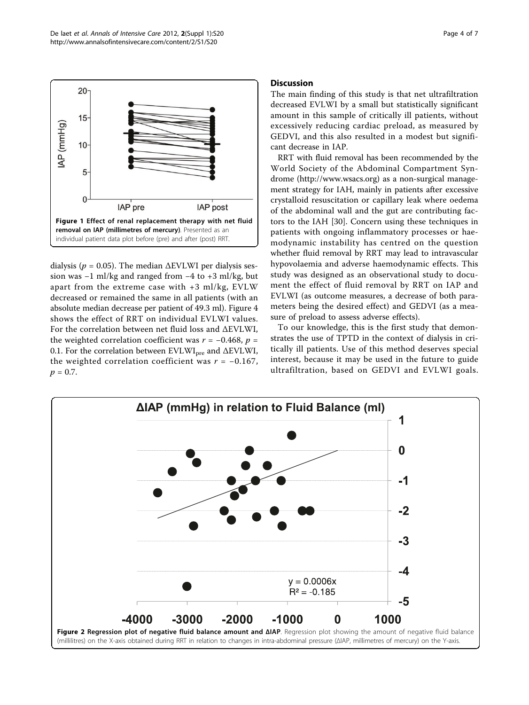<span id="page-3-0"></span>

dialysis ( $p = 0.05$ ). The median  $\Delta$ EVLWI per dialysis session was −1 ml/kg and ranged from −4 to +3 ml/kg, but apart from the extreme case with +3 ml/kg, EVLW decreased or remained the same in all patients (with an absolute median decrease per patient of 49.3 ml). Figure [4](#page-4-0) shows the effect of RRT on individual EVLWI values. For the correlation between net fluid loss and ΔEVLWI, the weighted correlation coefficient was  $r = -0.468$ ,  $p =$ 0.1. For the correlation between  $EVLWI<sub>pre</sub>$  and  $\Delta EVLWI$ , the weighted correlation coefficient was  $r = -0.167$ ,  $p = 0.7$ .

#### **Discussion**

The main finding of this study is that net ultrafiltration decreased EVLWI by a small but statistically significant amount in this sample of critically ill patients, without excessively reducing cardiac preload, as measured by GEDVI, and this also resulted in a modest but significant decrease in IAP.

RRT with fluid removal has been recommended by the World Society of the Abdominal Compartment Syndrome [\(http://www.wsacs.org\)](http://www.wsacs.org) as a non-surgical management strategy for IAH, mainly in patients after excessive crystalloid resuscitation or capillary leak where oedema of the abdominal wall and the gut are contributing factors to the IAH [\[30](#page-6-0)]. Concern using these techniques in patients with ongoing inflammatory processes or haemodynamic instability has centred on the question whether fluid removal by RRT may lead to intravascular hypovolaemia and adverse haemodynamic effects. This study was designed as an observational study to document the effect of fluid removal by RRT on IAP and EVLWI (as outcome measures, a decrease of both parameters being the desired effect) and GEDVI (as a measure of preload to assess adverse effects).

To our knowledge, this is the first study that demonstrates the use of TPTD in the context of dialysis in critically ill patients. Use of this method deserves special interest, because it may be used in the future to guide ultrafiltration, based on GEDVI and EVLWI goals.

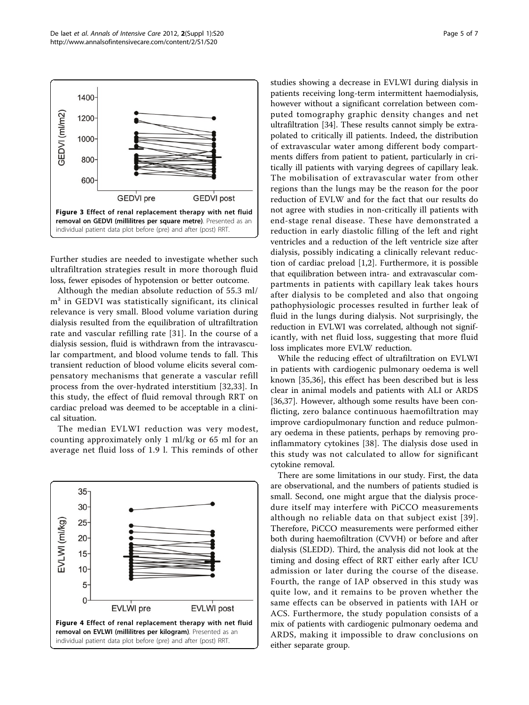<span id="page-4-0"></span>

Further studies are needed to investigate whether such ultrafiltration strategies result in more thorough fluid loss, fewer episodes of hypotension or better outcome.

Although the median absolute reduction of 55.3 ml/ m<sup>2</sup> in GEDVI was statistically significant, its clinical relevance is very small. Blood volume variation during dialysis resulted from the equilibration of ultrafiltration rate and vascular refilling rate [[31](#page-6-0)]. In the course of a dialysis session, fluid is withdrawn from the intravascular compartment, and blood volume tends to fall. This transient reduction of blood volume elicits several compensatory mechanisms that generate a vascular refill process from the over-hydrated interstitium [\[32](#page-6-0),[33\]](#page-6-0). In this study, the effect of fluid removal through RRT on cardiac preload was deemed to be acceptable in a clinical situation.

The median EVLWI reduction was very modest, counting approximately only 1 ml/kg or 65 ml for an average net fluid loss of 1.9 l. This reminds of other



studies showing a decrease in EVLWI during dialysis in patients receiving long-term intermittent haemodialysis, however without a significant correlation between computed tomography graphic density changes and net ultrafiltration [\[34](#page-6-0)]. These results cannot simply be extrapolated to critically ill patients. Indeed, the distribution of extravascular water among different body compartments differs from patient to patient, particularly in critically ill patients with varying degrees of capillary leak. The mobilisation of extravascular water from other regions than the lungs may be the reason for the poor reduction of EVLW and for the fact that our results do not agree with studies in non-critically ill patients with end-stage renal disease. These have demonstrated a reduction in early diastolic filling of the left and right ventricles and a reduction of the left ventricle size after dialysis, possibly indicating a clinically relevant reduction of cardiac preload [[1,2](#page-5-0)]. Furthermore, it is possible that equilibration between intra- and extravascular compartments in patients with capillary leak takes hours after dialysis to be completed and also that ongoing pathophysiologic processes resulted in further leak of fluid in the lungs during dialysis. Not surprisingly, the reduction in EVLWI was correlated, although not significantly, with net fluid loss, suggesting that more fluid loss implicates more EVLW reduction.

While the reducing effect of ultrafiltration on EVLWI in patients with cardiogenic pulmonary oedema is well known [\[35,36](#page-6-0)], this effect has been described but is less clear in animal models and patients with ALI or ARDS [[36,37\]](#page-6-0). However, although some results have been conflicting, zero balance continuous haemofiltration may improve cardiopulmonary function and reduce pulmonary oedema in these patients, perhaps by removing proinflammatory cytokines [\[38\]](#page-6-0). The dialysis dose used in this study was not calculated to allow for significant cytokine removal.

There are some limitations in our study. First, the data are observational, and the numbers of patients studied is small. Second, one might argue that the dialysis procedure itself may interfere with PiCCO measurements although no reliable data on that subject exist [[39\]](#page-6-0). Therefore, PiCCO measurements were performed either both during haemofiltration (CVVH) or before and after dialysis (SLEDD). Third, the analysis did not look at the timing and dosing effect of RRT either early after ICU admission or later during the course of the disease. Fourth, the range of IAP observed in this study was quite low, and it remains to be proven whether the same effects can be observed in patients with IAH or ACS. Furthermore, the study population consists of a mix of patients with cardiogenic pulmonary oedema and ARDS, making it impossible to draw conclusions on either separate group.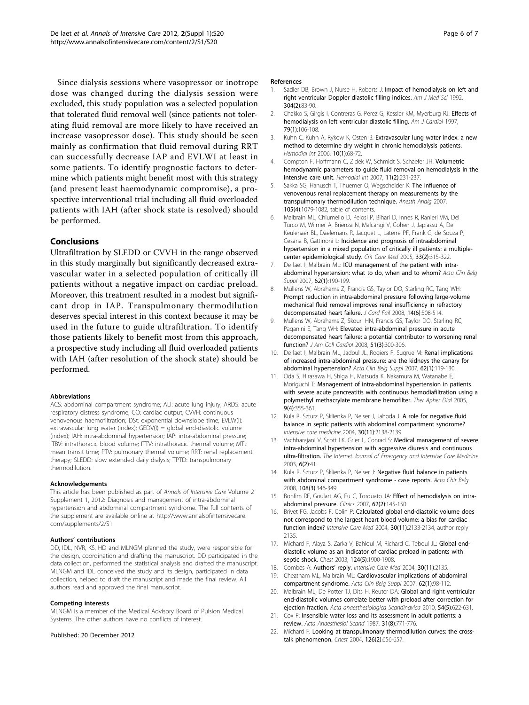<span id="page-5-0"></span>Since dialysis sessions where vasopressor or inotrope dose was changed during the dialysis session were excluded, this study population was a selected population that tolerated fluid removal well (since patients not tolerating fluid removal are more likely to have received an increase vasopressor dose). This study should be seen mainly as confirmation that fluid removal during RRT can successfully decrease IAP and EVLWI at least in some patients. To identify prognostic factors to determine which patients might benefit most with this strategy (and present least haemodynamic compromise), a prospective interventional trial including all fluid overloaded patients with IAH (after shock state is resolved) should be performed.

#### Conclusions

Ultrafiltration by SLEDD or CVVH in the range observed in this study marginally but significantly decreased extravascular water in a selected population of critically ill patients without a negative impact on cardiac preload. Moreover, this treatment resulted in a modest but significant drop in IAP. Transpulmonary thermodilution deserves special interest in this context because it may be used in the future to guide ultrafiltration. To identify those patients likely to benefit most from this approach, a prospective study including all fluid overloaded patients with IAH (after resolution of the shock state) should be performed.

#### Abbreviations

ACS: abdominal compartment syndrome; ALI: acute lung injury; ARDS: acute respiratory distress syndrome; CO: cardiac output; CVVH: continuous venovenous haemofiltration; DSt: exponential downslope time; EVLW(I): extravascular lung water (index); GEDV(I) = global end-diastolic volume (index); IAH: intra-abdominal hypertension; IAP: intra-abdominal pressure; ITBV: intrathoracic blood volume; ITTV: intrathoracic thermal volume; MTt: mean transit time; PTV: pulmonary thermal volume; RRT: renal replacement therapy; SLEDD: slow extended daily dialysis; TPTD: transpulmonary thermodilution.

#### Acknowledgements

This article has been published as part of Annals of Intensive Care Volume 2 Supplement 1, 2012: Diagnosis and management of intra-abdominal hypertension and abdominal compartment syndrome. The full contents of the supplement are available online at [http://www.annalsofintensivecare.](http://www.annalsofintensivecare.com/supplements/2/S1) [com/supplements/2/S1](http://www.annalsofintensivecare.com/supplements/2/S1)

#### Authors' contributions

DD, IDL, NVR, KS, HD and MLNGM planned the study, were responsible for the design, coordination and drafting the manuscript. DD participated in the data collection, performed the statistical analysis and drafted the manuscript. MLNGM and IDL conceived the study and its design, participated in data collection, helped to draft the manuscript and made the final review. All authors read and approved the final manuscript.

#### Competing interests

MLNGM is a member of the Medical Advisory Board of Pulsion Medical Systems. The other authors have no conflicts of interest.

#### Published: 20 December 2012

#### References

- 1. Sadler DB, Brown J, Nurse H, Roberts J: [Impact of hemodialysis on left and](http://www.ncbi.nlm.nih.gov/pubmed/1503115?dopt=Abstract) [right ventricular Doppler diastolic filling indices.](http://www.ncbi.nlm.nih.gov/pubmed/1503115?dopt=Abstract) Am J Med Sci 1992, 304(2):83-90.
- 2. Chakko S, Girgis I, Contreras G, Perez G, Kessler KM, Myerburg RJ: [Effects of](http://www.ncbi.nlm.nih.gov/pubmed/9024754?dopt=Abstract) [hemodialysis on left ventricular diastolic filling.](http://www.ncbi.nlm.nih.gov/pubmed/9024754?dopt=Abstract) Am J Cardiol 1997, 79(1):106-108.
- 3. Kuhn C, Kuhn A, Rykow K, Osten B: [Extravascular lung water index: a new](http://www.ncbi.nlm.nih.gov/pubmed/16441830?dopt=Abstract) [method to determine dry weight in chronic hemodialysis patients.](http://www.ncbi.nlm.nih.gov/pubmed/16441830?dopt=Abstract) Hemodial Int 2006, 10(1):68-72.
- 4. Compton F, Hoffmann C, Zidek W, Schmidt S, Schaefer JH: [Volumetric](http://www.ncbi.nlm.nih.gov/pubmed/17403176?dopt=Abstract) [hemodynamic parameters to guide fluid removal on hemodialysis in the](http://www.ncbi.nlm.nih.gov/pubmed/17403176?dopt=Abstract) [intensive care unit.](http://www.ncbi.nlm.nih.gov/pubmed/17403176?dopt=Abstract) Hemodial Int 2007, 11(2):231-237.
- 5. Sakka SG, Hanusch T, Thuemer O, Wegscheider K: [The influence of](http://www.ncbi.nlm.nih.gov/pubmed/17898391?dopt=Abstract) [venovenous renal replacement therapy on measurements by the](http://www.ncbi.nlm.nih.gov/pubmed/17898391?dopt=Abstract) [transpulmonary thermodilution technique.](http://www.ncbi.nlm.nih.gov/pubmed/17898391?dopt=Abstract) Anesth Analg 2007, 105(4):1079-1082, table of contents.
- 6. Malbrain ML, Chiumello D, Pelosi P, Bihari D, Innes R, Ranieri VM, Del Turco M, Wilmer A, Brienza N, Malcangi V, Cohen J, Japiassu A, De Keulenaer BL, Daelemans R, Jacquet L, Laterre PF, Frank G, de Souza P, Cesana B, Gattinoni L: [Incidence and prognosis of intraabdominal](http://www.ncbi.nlm.nih.gov/pubmed/15699833?dopt=Abstract) [hypertension in a mixed population of critically ill patients: a multiple](http://www.ncbi.nlm.nih.gov/pubmed/15699833?dopt=Abstract)[center epidemiological study.](http://www.ncbi.nlm.nih.gov/pubmed/15699833?dopt=Abstract) Crit Care Med 2005, 33(2):315-322.
- 7. De laet I, Malbrain ML: [ICU management of the patient with intra](http://www.ncbi.nlm.nih.gov/pubmed/17469719?dopt=Abstract)[abdominal hypertension: what to do, when and to whom?](http://www.ncbi.nlm.nih.gov/pubmed/17469719?dopt=Abstract) Acta Clin Belg Suppl 2007, 62(1):190-199.
- 8. Mullens W, Abrahams Z, Francis GS, Taylor DO, Starling RC, Tang WH: [Prompt reduction in intra-abdominal pressure following large-volume](http://www.ncbi.nlm.nih.gov/pubmed/18672199?dopt=Abstract) [mechanical fluid removal improves renal insufficiency in refractory](http://www.ncbi.nlm.nih.gov/pubmed/18672199?dopt=Abstract) [decompensated heart failure.](http://www.ncbi.nlm.nih.gov/pubmed/18672199?dopt=Abstract) J Card Fail 2008, 14(6):508-514.
- 9. Mullens W, Abrahams Z, Skouri HN, Francis GS, Taylor DO, Starling RC, Paganini E, Tang WH: [Elevated intra-abdominal pressure in acute](http://www.ncbi.nlm.nih.gov/pubmed/18206740?dopt=Abstract) [decompensated heart failure: a potential contributor to worsening renal](http://www.ncbi.nlm.nih.gov/pubmed/18206740?dopt=Abstract) [function?](http://www.ncbi.nlm.nih.gov/pubmed/18206740?dopt=Abstract) J Am Coll Cardiol 2008, 51(3):300-306.
- 10. De laet I, Malbrain ML, Jadoul JL, Rogiers P, Sugrue M: [Renal implications](http://www.ncbi.nlm.nih.gov/pubmed/17469709?dopt=Abstract) [of increased intra-abdominal pressure: are the kidneys the canary for](http://www.ncbi.nlm.nih.gov/pubmed/17469709?dopt=Abstract) [abdominal hypertension?](http://www.ncbi.nlm.nih.gov/pubmed/17469709?dopt=Abstract) Acta Clin Belg Suppl 2007, 62(1):119-130.
- 11. Oda S, Hirasawa H, Shiga H, Matsuda K, Nakamura M, Watanabe E, Moriguchi T: [Management of intra-abdominal hypertension in patients](http://www.ncbi.nlm.nih.gov/pubmed/16076382?dopt=Abstract) [with severe acute pancreatitis with continuous hemodiafiltration using a](http://www.ncbi.nlm.nih.gov/pubmed/16076382?dopt=Abstract) [polymethyl methacrylate membrane hemofilter.](http://www.ncbi.nlm.nih.gov/pubmed/16076382?dopt=Abstract) Ther Apher Dial 2005, 9(4):355-361.
- 12. Kula R, Szturz P, Sklienka P, Neiser J, Jahoda J: [A role for negative fluid](http://www.ncbi.nlm.nih.gov/pubmed/15368035?dopt=Abstract) [balance in septic patients with abdominal compartment syndrome?](http://www.ncbi.nlm.nih.gov/pubmed/15368035?dopt=Abstract) Intensive care medicine 2004, 30(11):2138-2139.
- 13. Vachharajani V, Scott LK, Grier L, Conrad S: Medical management of severe intra-abdominal hypertension with aggressive diuresis and continuous ultra-filtration. The Internet Journal of Emergency and Intensive Care Medicine 2003, 6(2):41.
- 14. Kula R, Szturz P, Sklienka P, Neiser J: [Negative fluid balance in patients](http://www.ncbi.nlm.nih.gov/pubmed/18710113?dopt=Abstract) [with abdominal compartment syndrome - case reports.](http://www.ncbi.nlm.nih.gov/pubmed/18710113?dopt=Abstract) Acta Chir Belg 2008, 108(3):346-349.
- 15. Bonfim RF, Goulart AG, Fu C, Torquato JA: Effect [of hemodialysis on intra](http://www.ncbi.nlm.nih.gov/pubmed/17505699?dopt=Abstract)[abdominal pressure.](http://www.ncbi.nlm.nih.gov/pubmed/17505699?dopt=Abstract) Clinics 2007, 62(2):145-150.
- 16. Brivet FG, Jacobs F, Colin P: [Calculated global end-diastolic volume does](http://www.ncbi.nlm.nih.gov/pubmed/15368039?dopt=Abstract) [not correspond to the largest heart blood volume: a bias for cardiac](http://www.ncbi.nlm.nih.gov/pubmed/15368039?dopt=Abstract) [function index?](http://www.ncbi.nlm.nih.gov/pubmed/15368039?dopt=Abstract) Intensive Care Med 2004, 30(11):2133-2134, author reply 2135.
- 17. Michard F, Alaya S, Zarka V, Bahloul M, Richard C, Teboul JL: [Global end](http://www.ncbi.nlm.nih.gov/pubmed/14605066?dopt=Abstract)[diastolic volume as an indicator of cardiac preload in patients with](http://www.ncbi.nlm.nih.gov/pubmed/14605066?dopt=Abstract) [septic shock.](http://www.ncbi.nlm.nih.gov/pubmed/14605066?dopt=Abstract) Chest 2003, 124(5):1900-1908.
- 18. Combes A: Authors' reply. Intensive Care Med 2004, 30(11):2135.
- 19. Cheatham ML, Malbrain ML: [Cardiovascular implications of abdominal](http://www.ncbi.nlm.nih.gov/pubmed/17469707?dopt=Abstract) [compartment syndrome.](http://www.ncbi.nlm.nih.gov/pubmed/17469707?dopt=Abstract) Acta Clin Belg Suppl 2007, 62(1):98-112.
- 20. Malbrain ML, De Potter TJ, Dits H, Reuter DA: [Global and right ventricular](http://www.ncbi.nlm.nih.gov/pubmed/20085545?dopt=Abstract) [end-diastolic volumes correlate better with preload after correction for](http://www.ncbi.nlm.nih.gov/pubmed/20085545?dopt=Abstract) [ejection fraction.](http://www.ncbi.nlm.nih.gov/pubmed/20085545?dopt=Abstract) Acta anaesthesiologica Scandinavica 2010, 54(5):622-631.
- 21. Cox P: [Insensible water loss and its assessment in adult patients: a](http://www.ncbi.nlm.nih.gov/pubmed/3324617?dopt=Abstract) [review.](http://www.ncbi.nlm.nih.gov/pubmed/3324617?dopt=Abstract) Acta Anaesthesiol Scand 1987, 31(8):771-776.
- 22. Michard F: [Looking at transpulmonary thermodilution curves: the cross](http://www.ncbi.nlm.nih.gov/pubmed/15302764?dopt=Abstract)[talk phenomenon.](http://www.ncbi.nlm.nih.gov/pubmed/15302764?dopt=Abstract) Chest 2004, 126(2):656-657.